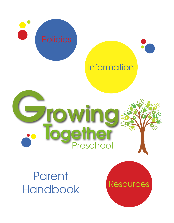

## **Information**

**Resources** 

# Growing Preschoo olethe

**Parent** Handbook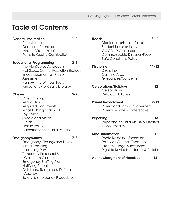## Table of Contents

### General Information 1–2

Parent Letter Contact Information Mission, Vision, Beliefs Paths to Quality Certification

#### Educational Programming 2–5

The HighScope Approach HighScope Conflict Resolution Strategy Encouragement vs. Praise Assessment Handwriting Without Tears Fundations Pre-K Early Literacy

#### Classes 5–7

Class Offerings **Registration** Required Documents What to Bring to School Toy Policy Snacks and Meals **Tuition** Pickup Policy Authorization for Child Release

#### Emergency/Safety 7–8

Emergency Closings and Delay Virtual Learning eLearning Days Temporary Preschool & Classroom Closure Emergency Staffing Plan Notifying Parents Child care Resource & Referral Agency Safety & Emergency Procedures

| <b>Health</b>     | <b>Medications/Health Plans</b><br>Student Illness or Injury<br>COVID-19 Guidance<br>Communicable Diseases/Fever<br>Safe Conditions Policy                  | $8 - 11$  |
|-------------------|-------------------------------------------------------------------------------------------------------------------------------------------------------------|-----------|
| <b>Discipline</b> | <b>Discipline</b><br>Calming Area<br>Grievances/Concerns                                                                                                    | $11 - 12$ |
|                   | <b>Celebrations/Holidays</b><br>Celebrations<br>Religious Holidays                                                                                          | 12        |
|                   | <b>Parent Involvement</b><br>Parent and Family Involvement<br><b>Parent-Teacher Conferences</b>                                                             | $12 - 13$ |
| Reporting         | Reporting of Child Abuse & Neglect<br>Confidentiality                                                                                                       | 13        |
|                   | <b>Misc. Information</b><br>Photo Release Information<br>Policy on Alcohol, Tobacco,<br>Firearms, Illegal Substances<br>Right to Revise Handbook & Policies | 13        |

Acknowledgment of Handbook 14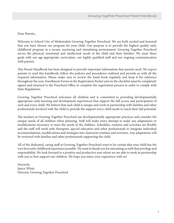Dear Parents,

Welcome to School City of Mishawaka's Growing Together Preschool. We are both excited and honored that you have chosen our program for your child. Our purpose is to provide the highest quality early childhood program in a secure, nurturing and stimulating environment. Growing Together Preschool serves the physical, emotional and intellectual needs of the child and their families. We meet these goals with our age-appropriate curriculum, our highly qualified staff and our ongoing communication with parents.

This Parent Handbook has been designed to provide important information that parents need. We expect parents to read this handbook, follow the policies and procedures outlined and provide us with all the required information. Please make sure to review the hand book regularly and keep it for reference throughout the year. Enrollment Forms in the Registration Packet and on the checklist must be completed/ signed and returned to the Preschool Office to complete the registration process in order to comply with State Regulations.

Growing Together Preschool welcomes all children and is committed to providing developmentally appropriate early learning and development experiences that support the full access and participation of each and every child. We believe that each child is unique and work in partnership with families and other professionals involved with the child to provide the support every child needs to reach their full potential.

The teachers at Growing Together Preschool use developmentally appropriate practices and consider the unique needs of all children when planning. Staff will make every attempt to make any adaptations or modifications necessary to meet the needs of the children. Schedules, routines and activities are flexible and the staff will work with therapists, special educators and other professionals to integrate individual accommodations, modifications and strategies into classroom routines and activities. Any adaptations will be reviewed with families and other professionals supporting the child.

All of the dedicated, caring staff at Growing Together Preschool want to be certain that your child has the very best early childhood experience possible. We want to thank you for entrusting us with that privilege and responsibility. We look forward to a positive and productive year where we are able to work in partnership with you to best support our children. We hope you enjoy your experience with us!

Sincerely, Janice White Director, Growing Together Preschool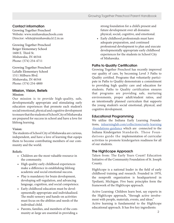#### Contact information

Growing Together Preschool Website: www.mishawakaschools.com Director: whitej@mishawaka.k12.in.us

Growing Together Preschool Beiger Elementary School 1600 E. Third St. Mishawaka, IN 46544 Phone: (574) 254-4711

Growing Together Preschool LaSalle Elementary School 1511 Milburn Blvd. Mishawaka, IN 46544 Phone: (574) 254-4800

#### Mission, Vision, Beliefs **Mission:**

Our mission is to provide high-quality, safe, developmentally appropriate and stimulating early education experiences that promote each student's social/emotional, physical and cognitive development to ensure that the students of School City of Mishawaka are prepared for success in school and have a love for lifelong learning.

#### **Vision:**

The students of School City of Mishawaka are curious, independent, and have a love of learning that equips them to become contributing members of our community and the world.

#### **Beliefs:**

- Children are the most valuable resource in the community.
- High quality early childhood experiences make a difference in establishing lifelong academic and social emotional success.
- Play is mandatory for brain development, developing self-regulation, and advancing language, cognition, and social competence.
- Early childhood education must be devel opmentally appropriate and individualized. The multi-sensory and hands-on activities must focus on the abilities and needs of the individual child.
- Parents, families, and members of the com munity at-large are essential in providing a

 strong foundation for a child's present and future development over all domains: physical, social, cognitive, and emotional.

• Early childhood professionals must have adequate preparation, and continued professional development to plan and execute developmentally appropriate early childhood experiences for the students in School City of Mishawaka.

#### Paths to Quality Certification

Growing Together Preschool has recently improved our quality of care, by becoming Level 3 Paths to Quality certified. Programs that voluntarily participate in Paths to Quality demonstrate a commitment to providing high quality care and education for students. Paths to Quality certification ensures that programs are providing safe, nurturing environments, proper adult/student ratios, and an intentionally planned curriculum that supports the young student's social emotional, physical, and cognitive development.

#### Educational Programming

We utilize the Indiana Early Learning Foundations, inlearninglab.com/collections/early-learning -foundations-guidance which are connected to the Indiana Kindergarten Standards. These Foundations guide the implementation of curricular activities to promote kindergarten readiness for all of our students.

#### The HighScope Approach

Taken from: The Early Years Count! Education Initiative of the Community Foundation of St. Joseph County.

HighScope is a national leader in the field of early childhood training and research. Founded in 1970, the nonprofit organization is headquartered in Ypsilanti, Michigan. Five basic principles form the framework of the HighScope approach.

Active Learning: Children learn best, say experts in the HighScope approach, "through active involvement with people, materials, events, and ideas." Active learning is fundamental to the HighScope educational approach. It has five key ingredients: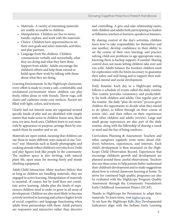- Materials- A variety of interesting materials are readily accessible to children.
- Manipulation- Children are free to move, handle, explore, and work with the materials.
- Choice- Children have opportunities to set their own goals and select materials, activities, and play partners.
- Language from the children- Children communicate verbally and nonverbally, what they are doing and what they have done. Support from adults- Adults encourage the children's efforts and help them extend or build upon their work by talking with them about what they are doing.

Learning Environment: In the HighScope classroom, every effort is made to create a safe, comfortable, and uncluttered environment where children can play freely, either alone or with friends. Throw rugs, soft chairs and cushions create cozy surfaces. Rooms are filled with light, colors, and textures.

Clearly laid out interest areas are organized around specific kinds of play and are identified with simple names that make sense to children-house area, block area, toy area, book area. Children learn to sort materials by appearance or purpose, arrange them by size, match them by number and so on.

Materials are open-ended, meaning that children can use them in many different ways instead of one "correct" way. Materials such as family photographs and cooking utensils reflect children's everyday lives. Dolls and play figures look like people in the community. The outdoor space is also inviting, with natural plant life, open areas for moving freely and sturdy climbing equipment.

Adult-Child Interaction: Many teachers believe that as long as children are handling materials, they are engaged in active learning. Manipulation of materials is essential, of course, but by itself does not constitute active learning. Adults plan the kinds of experiences children need in order to grow in all areas of development. Children are also most likely to become actively involved in learning and achieve higher levels of social, cognitive, and language functioning when adults form partnerships with them. Adult partners are responsive and interactive rather than directive

and controlling. A give-and-take relationship exists, with children and adults both participating as leaders or followers, teachers or learners, speakers or listeners.

By sharing control of the day's activities, children learn how to take responsibility for themselves and one another; develop confidence in their ability to set the course of their own learning; and practice solving child-size problems in age appropriate ways, knowing there is backup support, if needed. Sharing control does not mean letting children take over and run wild. Adults balance the freedom children need for exploration with the limits necessary to guarantee their safety and well-being and to support their individual mental and social development.

Daily Routine: Each day in a HighScope setting follows a schedule of events called the daily routine. This routine provides consistency and predictability for both children and adults. One regular part of the routine- the daily "plan-do-review" process gives children the opportunity to decide what they intend to do (plan), to follow through on their course of action (do), and then reflect on their experiences with other children and adults (review). Large and small group experiences are also part of the daily routine, along with the fellowship of sharing a snack or meal and the fun of being outdoors.

Curriculum Planning & Assessment: Teachers and other caregivers regularly write notes about children's behaviors, experiences, and interests. Each child's development is then measured on the High-Scope Child Observation Record. Experiences that encourage children's growth and development are planned around these careful observations. Teachers also use these notes to help parents better understand their children's development and to make suggestions about how to extend classroom learning at home. To strive for continued high quality, programs can also be evaluated with the HighScope Program Quality Assessment through the Community Foundation's Early Childhood Assessment Project (ECAP).

Thanks to HighScope for Permission to adapt their materials. To learn more, visit highscope.org.

To see how the HighScope Kdls (Key Developmental Indicators) align with the Indiana Early Learning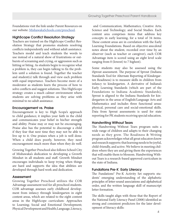Foundations visit the link under Parent Resources on our website: MishawakaSchools.com/preschool.

#### HighScope Conflict Resolution Strategy

Teachers are trained on the HighScope Conflict Resolution Strategy that promotes students resolving conflicts independently and without adult assistance. Teachers model and teach students the words to use instead of a natural show of frustrations or outbursts of screaming and crying, or aggression such as hitting or biting. As students begin to recognize what a problem is, they can begin talking to fix the problem until a solution is found. Together the teacher and student(s) talk through and view each problem with equal importance. Teachers become more of a moderator as students learn the process of how to solve conflicts and suggest solutions. This HighScope strategy creates a much calmer environment where students are solving problems as they arise with minimal to no adult assistance.

#### Encouragement vs. Praise

Encouragement is key to High Scope's approach to child guidance; it implies your faith in the child and communicates your belief in his/her strength and ability. Praise may or may not be encouraging. Praise also has the potential to discourage a child if they fear that next time they may not be able to live up to it. One praises when a job is well done. When a child does poorly, however, they need encouragement much more than when they do well.

Growing Together Preschool also follows School City of Mishawaka's dedication to developing a Growth Mindset in all students and staff. Growth Mindset encourages individuals to keep trying when things are hard and supports the idea that abilities are developed through hard work and dedication.

#### **Assessment**

Growing Together Preschool utilizes the COR Advantage assessment tool for all preschool students. COR advantage assesses early childhood development from infancy through kindergarten in eight content areas, which are related to the eight content areas in the HighScope curriculum: Approaches to Learning; Social and Emotional Development; Physical Development and Health; Language, Literacy,

 and Communication; Mathematics; Creative Arts; Science and Technology; and Social Studies. Each content area comprises items that address key concepts in early learning, for a total of 34 items. These content areas are in correlation with the Early Learning Foundations. Based on objective anecdotal notes about the student, recorded over time by an observer (such as teacher or caregiver), each COR Advantage item is scored using an eight level scale ranging from 0 (lowest) to 7 highest).

Some students may also be assessed using the iSprout assessment. The purpose of Sprout (Indiana Standards Tool for Alternate Reporting of Kindergarten Readiness) is to measure skills in children from infancy to kindergarten. A derivative of Indiana's Early Learning Standards (which are part of the Foundations to Indiana Academic Standards), Sprout is aligned to the Indiana Standards for kindergarten in the areas of English/Language Arts and Mathematics and includes three functional areas: physical, personal care and social-emotional skills. Data from Sprout assessments is used for state reporting for PK students receiving special education.

#### Handwriting Without Tears

The Handwriting Without Tears program suits a wide range of children and adapts to their changing needs as they grow. The Readiness & Writing program acknowledges what all great educators know and research supports: that learning needs to be joyful, child-friendly, and active. We believe in meeting children where they are and giving them the experiences that will enable them to blossom. Handwriting Without Tears is a research-based approved curriculum in the state of Indiana.

#### Fundations Pre-K Early Literacy

The Fundations® Pre-K Activity Set supports students' emerging understanding of the alphabetic principles of letter-sound associations and alphabetical order, and the written language skill of manuscript letter formation.

The skills taught align with those that the Report of the National Early Literacy Panel (2008) identified as strong and consistent predictors for the later development of literacy skills: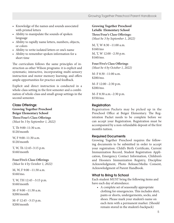- Knowledge of the names and sounds associated with printed letters
- Ability to manipulate the sounds of spoken language
- Ability to rapidly name letters, numbers, objects, or colors
- Ability to write isolated letters or one's name
- Ability to remember spoken information for a short time

The curriculum follows the same principles of instruction as other Wilson programs: it is explicit and systematic; interactive, incorporating multi-sensory instruction and motor memory learning; and offers ample opportunities for practice and feedback.

Explicit and direct instruction is conducted in a whole-class setting in the first semester and a combination of whole-class and small-group settings in the second semester.

#### Class Offerings:

**Growing Together Preschool Beiger Elementary School Three/Four's Class Offerings** *(Must be 3 by September 1, 2022)*

T, Th 9:00–11:30 a.m. \$120/month

W, F 9:00–11:30 a.m. \$120/month

T, W, Th 12:45–3:15 p.m. \$160/month

#### **Four/Five's Class Offerings**

*(Must be 4 by October 1, 2022)*

M, W, F 9:00 –11:30 a.m. \$160/mo.

T, W, TH 12:45 –3:15 p.m. \$160/month

M–F 9:00 –11:30 a.m. \$200/month

M–F 12:45 –3:15 p.m. \$200/month

#### **Growing Together Preschool LaSalle Elementary School Three/Four's Class Offerings:**

*(Must be 3 by September 1, 2022)*

M, T, W 8:30 –11:00 a.m. \$160/mo M, T, W 12:00 –2:30 p.m. \$160/mo.

#### **Four/Five's Class Offerings**

*(Must be 4 by October 1, 2022)*

M–F 8:30 –11:00 a.m. \$200/mo.

M–F 12:00 –2:30 p.m. \$200/mo.

M–F 8:30 a.m.–2:30 p.m. \$550/mo.

#### Registration

Registration Packets may be picked up in the Preschool Office at Beiger Elementary. The Registration Packet needs to be complete before we can accept your Registration. Registration must be accompanied by a non-refundable deposit of the first month's tuition.

#### Required Documents

Growing Together Preschool requires the following documents to be submitted in order to accept your registration: Child's Birth Certificate, Current Immunization Record, Student Registration Application, Emergency Contact Information, Children's and Hoosiers Immunization Registry, Discipline Acknowledgment, Photo Release/Media Consent, Acknowledgment of Parent Handbook.

#### What to Bring to School

Each student MUST bring the following items and have each day of attendance.

• A complete set of seasonally appropriate clothing for emergencies. This includes shirt, pants or shorts, undergarments, socks, and shoes. Please mark your student's name on each item with a permanent marker. (Should remain stored in the student's backpack)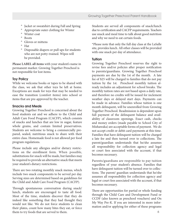- ° Jacket or sweatshirt during Fall and Spring
- ° Appropriate outer clothing for Winter
- ° Winter coat
- ° Boots
- ° Gloves or mittens
- ° Hat
- Disposable diapers or pull ups for students who are not potty-trained. Wipes will be provided.

**Please LABEL all items** with your student's name in permanent marker. Growing Together Preschool is not responsible for lost items.

#### Toy Policy

While we welcome books or tapes to be shared with the class, we ask that other toys be left at home. Exceptions are made for toys that may be needed to ease the transition (comfort items) into school or items that are pre-approved by the teacher.

#### Snacks and Meals

Growing Together Preschool is concerned about the food students eat and we adhere to the Child and Adult Care Food Program (CACFP), which consists of snacks and lunches that are low in sugar, feature whole grains, and contain limited preservatives. Students are welcome to bring a commercially prepared, sealed, nutritious snack to share with their entire class. Homemade food is not allowed per food program regulations.

Please include any allergies and/or dietary restrictions on the enrollment form. When possible, substitutions for snack will be made, but families may be required to provide an alternative snack that meets your student's dietary restrictions.

There are two rotating monthly snack menus, which include two snack components to be served per day. Serving sizes are determined based on guidelines for the Child and Adult Care Food Program (CACFP).

Through spontaneous conversation during snack/ lunch, students are encouraged to taste all food. Most of the time, students discover that they do indeed like something that they had thought they would not like. We do not force students to clean their plates, count how many bites they eat, or force them to try foods that are served to them.

Students are served all components of snack/lunch due to certification and CACFP requirements. Teachers use snack and meal time to talk about good nutrition and why we need to eat certain foods.

\*Please note that only the full day class at the LaSalle site, provides lunch. All other classes will be provided with one snack per day of attendance.

#### **Tuition**

Growing Together Preschool reserves the right to revise fees and/or policies after proper notification to parents/guardians. Growing Together Preschool payments are due by the 1st of the month. A late fee of \$25 will be charged to families that do not pay tuition by the 1st. Preschool monthly tuition already includes an adjustment for school breaks. The monthly tuition rates are not based upon a daily rate, and therefore no credits will be issued for inclement weather days or delayed start days. Payments can be made in advance. Families whose tuition is one month delinquent, will be unenrolled from Growing Together Preschool. Readmission is dependent upon full payment of the delinquent balance and availability of classroom openings. Exact cash, checks and money orders (made payable to School City of Mishawaka) are acceptable forms of payment. We do not accept credit or debit card payments at this time. Families that have delinquent tuition will be charged a late fee and then turned over to collections. The parent/guardian understands that he/she assumes all responsibility for collection agency and legal or court fees associated with the account, if that becomes necessary.

Parents/guardians are responsible to pay tuition regardless of your student's absence. Families that have delinquent tuition will be turned over to collections. The parent/ guardian understands that he/she assumes all responsibility for collection agency and legal or court fees associated with the account, if that becomes necessary.

There are opportunities for partial or whole funding through the Child Care and Development Fund or CCDF (also known as preschool vouchers) and On My Way Pre-K. If you are interested in more information and/or applying for either of these programs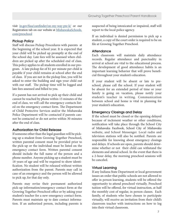visit in.gov/fssa/carefinder/on-my-way-pre-k/ or our Registration tab on our website at MishawakaSchools. com/preschool

#### Pickup Policy

Staff will discuss Pickup Procedures with parents at the beginning of the school year. It is expected that your child will be picked up promptly at the end of the school day. Late fees will be assessed when children are picked up after the scheduled end of class. This policy applies to all students enrolled in our program. A late pickup fee of \$1 per minute per child is payable if your child remains at school after the end of class. If you are not in the pickup line, you will be asked to enter the building and sign your child out with our staff. The pickup time will be logged and late fees assessed and billed to you.

If a parent has not arrived to pick up their child and cannot be reached by phone within 15 minutes of the end of class, we will call the emergency contacts listed on the emergency contact form. The Department of Child Protective Services and/or the Mishawaka Police Department will be contacted if parents cannot be contacted or do not arrive within 30 minutes after the end of class.

#### Authorization for Child Release

If someone other than the legal guardian will be picking up a student from Growing Together Preschool, written parental consent must be provided prior to the pick-up or the individual must be listed on the emergency contact form. Written parental consent should include the full name of the person and a phone number. Anyone picking up a student must be 18 years of age and will be required to show identification. No student will be released without written authorization from the parent. Parents may call in case of an emergency and the person will be allowed to pick up, for that day only.

Parents may revise their permanent authorized pick-up information/emergency contact form at the Growing Together Preschool office or by asking your student's teacher for a new emergency contact form. Parents must maintain up to date contact information. If an authorized person, including parents is

suspected of being intoxicated or impaired, staff will report to the local police agency.

If an individual is denied permission to pick up a student, a copy of the court order is required to be on file at Growing Together Preschool.

#### **Attendance**

Each classroom will maintain daily attendance records. Regular attendance and punctuality in arrival at school are vital to the educational process. The development of good attendance habits is an important learning behavior that will prove beneficial throughout your student's education.

If your student will be absent or late to preschool, please call the school. If your student will be absent for an extended period of time or your family is going on vacation, please notify your student's teacher in writing. Communication between school and home is vital in planning for your student's education.

#### Emergency Closings and Delay

If the school must be closed or the opening delayed because of inclement weather or other conditions, notification will take place through the School City of Mishawaka Facebook, School City of Mishawaka website, and School Messenger. Local radio and television stations will also be notified. Parents are responsible for knowing about emergency closings and delays. If schools are open, parents should determine whether or not their child can withstand the elements and attend school. In the event that there is a 2-hour delay, the morning preschool sessions will be canceled.

#### Virtual Learning

If any Indiana State Department or local government issues an order that public schools are not allowed to offer in person learning, students will be offered the opportunity to attend preschool virtually. Preschool tuition will be offered, for virtual instruction, at half the monthly cost of regular, in person classes. Each family, of students who have chosen to participate virtually, will receive an invitation from their child's classroom teacher with instructions on how to log into their virtual classroom.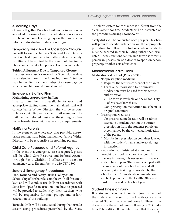#### eLearning Days

Growing Together Preschool will not be in session on any SCM eLearning Days. Special education services will be offered on eLearning days as they are written into the Individualized Education Program.

#### Temporary Preschool or Classroom Closure

We will follow the Indiana State and local Department of Health guidance in matters related to safety. Families will be notified by the preschool director by phone and email if a temporary closure is warranted.

#### **Tuition Adjustment Due to Temporary Closure**

If a preschool class is canceled for 5 cumulative days in a calendar month, the following month's tuition may be credited for the number of closure days on which your child would have attended.

#### Emergency Staffing Plan

#### **Maintaining Appropriate Staffing**

If a staff member is unavailable for work and appropriate staffing cannot be maintained, staff will contact Janice White, Director. She will be responsible for contacting replacement staff members. The staff member selected must meet the staffing requirements in order to maintain supervision requirements.

#### Notifying Parents

In the event of an emergency that prohibits appropriate staffing from being maintained, Janice White, Director will be responsible for notifying parents.

#### Child Care Resource and Referral Agency

In the event that emergency care is required, please call the Child Care Resource and Referral Agency through Early Childhood Alliance to assist in emergency care. The number is 1-219-757-1800.

#### Safety & Emergency Procedures

#### **Fire, Tornado and Safety Drills (Policy 8420)**

School City of Mishawaka complies with all fire safety laws and will conduct fire drills in accordance with State law. Specific instructions on how to proceed will be provided to students by their teachers who will be responsible for safe, prompt and orderly evacuation of the building.

Tornado drills will be conducted during the tornado season using procedures prescribed by the State.

The alarm system for tornadoes is different from the alarm system for fires. Students will be instructed on the procedures during a tornado drill.

Safety drills will be conducted once per year. Teachers will provide specific instruction on the appropriate procedure to follow in situations where students must be secured in their building rather than evacuated. These situations can include terrorist threat, a person in possession of a deadly weapon on school property, or other acts of violence.

#### Medications/Health Plans

**Medications at School (Policy 5330)**

- Nonprescription medicine
	- ° Requires the written consent of the parent.
	- ° Form A, Authorization to Administer Medication must be used for this written authorization.
		- The form is available on the School City of Mishawaka website.
	- ° Non-prescription medication must be in its original container.
- Prescription Medicine
	- ° No prescribed medication will be admin istered to a student without the written prescription from the student's physician accompanied by the written authorization of the parent.
	- ° Must be in a prescription container labeled with the student's name and exact dosage instructions.
- Medication administered at school must be brought to school by a parent or guardian.
- In some instances, it is necessary to create a student health plan. These are developed with the assistance of the school nurse and all necessary staff training is provided by the school nurse. All medical documentation will be kept on file in the Health Office and must be renewed each school year.

#### Student Illness or Injury

If a student becomes ill or is injured at school, the student will be sent to the Health Office to be assessed. Students may be sent home for illness at the discretion of the school nurse following SCM Guidelines Policy #8453. If it is determined that the student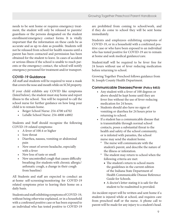needs to be sent home or requires emergency treatment, the student will only be released to parents/ guardians or the persons designated on the student enrollment/emergency contact forms. It is vitally important that the information on these cards be as accurate and as up-to-date as possible. Students will not be released from school for health reasons until a parent has been contacted and permission has been obtained for the student to leave. In cases of accident or serious illness if the school is unable to reach parents or the emergency contact, the school will notify emergency personnel for treatment and/or transport.

#### COVID-19 Guidance

All staff and students will be required to wear a mask that covers the nose and mouth while on SCM property.

If your child exhibits any COVID like symptoms (listed below), the student must stay home and report illness to the school. You will be required to call the school nurse for further guidance on how long your child is to remain home.

- Beiger School Nurse: 254-4700 x4702
- LaSalle School Nurse: 254-4800 x4802

Students and Staff should recognize the following COVID-19-related symptoms:

- A fever of 100.4 or higher
- Sore throat
- Diarrhea, nausea, vomiting or abdominal pain
- New onset of severe headache, especially with a fever
- New loss of taste or smell
- New uncontrolled cough that causes difficulty breathing (for students with chronic allergic/ asthmatic cough, a change in their cough from baseline)

All Students and staff are expected to conduct an at-home self-screening/monitoring for COVID-19 related symptoms prior to leaving their home on a daily basis.

Students and staff exhibiting symptoms of COVID-19, without being otherwise explained, or in a household with a confirmed positive case or has been exposed to an individual who has tested positive to COVID-19 are prohibited from coming to school/work, and if they do come to school they will be sent home immediately.

Students and employees exhibiting symptoms of COVID-19, or in a household with a confirmed positive case or who have been exposed to an individual who has tested positive for COVID-19 are to remain at home and seek medical guidance/care.

Student/staff will be required to be fever free for 24 hours without use of fever reducing medication before returning to school.

Growing Together Preschool follows guidance from St. Joseph County Health Department.

#### Communicable Diseases/Fever (Policy 8453)

- Any student with a fever of 100 degrees or above should be kept home until they are fever free without the use of fever-reducing medication for 24 hours.
- Students should also have no signs of vomiting or diarrhea for 24 hours prior to returning to school.
- If a student has a communicable disease that is transmittable through normal school contacts, poses a substantial threat to the health and safety of the school community, or is infested with parasites, the school nurse may send the student home.
	- The nurse will communicate with the student's parent, and describe the nature of the illness or infestation.
	- ° The student may return to school when the following criteria are met:
		- The student's return to school meets the guidelines in the current edition of the Indiana State Department of Health Communicable Disease Reference Guide for Schools.
		- A doctor's letter stating it is safe for the student to be readmitted is provided.

An incident report will be written and sent home if a student is injured while at school, and requires care from preschool staff or the nurse. A phone call to parent will be made for any injury to a student's head.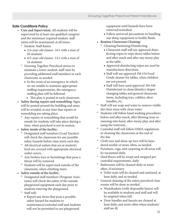#### Safe Conditions Policy

- **Care and Supervision:** All students will be supervised by at least one qualified caregiver and the minimum required student: staff ratios will be maintained, at all times.
	- ° Student: Staff Ratios
		- 3/4-year-old classes- 10:1 with a max of 20 students
		- 4/5-year-old classes- 12:1 with a max of 24 students
	- ° Growing Together Preschool strives to maintain a lower student: staff ratio by providing additional staff members in each classroom, as needed.
		- In the event of an emergency in which we are unable to maintain appropriate staffing requirements, the emergency staffing plan will be followed.
			- This plan is posted in each classroom.
- **Safety during repairs and remodeling**: Signs will be posted around the building and areas will be avoided, at any time that repairs or remodeling are taking place.
	- ° Any repairs or remodeling that would be unsafe for students will take place during a time, when preschool is not in session.
- **Safety inside of the facility:**
	- ° Designated staff members (Lead Teacher) will check the classroom for any possible safety hazards before class starts each day.
	- ° All electrical outlets that are at student's level are covered with appropriate electrical outlet covers.
	- ° Any broken toys or furnishings that pose a threat will be removed.
	- ° Students will be supervised outside of the classroom, when climbing stairs.
- **Safety outside of the facility:**
	- ° Designated staff members (Program Assis tants) will check the safety of the outside playground equipment each day prior to students entering the playground.
	- ° Staff will:
		- Report any items that pose a possible safety hazard for students to maintenance/custodial staff and students will not be permitted to use playground

 equipment until hazards have been removed/remedied.

- Follow universal precautions in handling any sharp equipment or bodily fluids.
- **Routine Classroom Cleaning:**
	- ° Cleaning/Sanitizing/Disinfecting
		- Classroom staff will use approved disin fecting wipes to wipe down tables before and after snack and after any messy play at the table.
		- Approved disinfecting wipes are used by manufacturer directions.
		- Staff will use approved 3M #34 Food Grade cleaner for tables, when children are not present.
		- Staff will have used approved 3M #40 Disinfectant to clean/disinfect diaper changing tables and general classroom items, including toys, cubbies, door handles, etc.
- ° Staff will use soap and water to remove visible dirt then rinse with clean water.
- Students will follow hand washing procedures before and after snack, after blowing nose or sneezing into hand, after messy play, and after using the restroom.
- ° Custodial staff will follow OSHA regulations in cleaning the classrooms at the end of the day.
- ° Cloth toys and dress-up toys will be laun dered weekly or more often, as needed.
- Furniture, rugs, and carpeting in all areas will be vacuumed daily.
- Hard floors will be swept and mopped per custodial requirements, daily.
- ° Bathrooms will be cleaned daily or more often, if necessary.
	- Toilet seats will be cleaned and sanitized, at least daily, and as needed.
- ° General cleaning of the entire preschool class rooms will be done as needed.
	- Wastebaskets (with disposable liners) will be available to students and staff and will be emptied when full.
	- Door handles and faucets are cleaned at least daily, and more often when students/ staff are ill.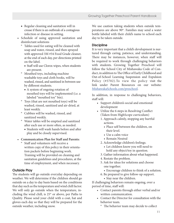- Regular cleaning and sanitation will in crease if there is an outbreak of a contagious infection or disease in setting.
- Schedule of using approved sanitation and disinfectant solutions
	- ° Tables used for eating will be cleaned with soap and water, rinsed, and then sprayed with approved 3M #34 Food Grade cleaner, at the end of each day, per directions printed on the label.
		- Staff will use Clorox wipes, when students are present.
	- ° Mouthed toys, including machine washable toys and cloth books, will be washed, rinsed, and sanitized in between use by different students.
		- A system of ongoing rotation of mouthed toys will be implemented (i.e. a labeled "mouthed toy" bin).
	- ° Toys (that are not mouthed toys) will be washed, rinsed, sanitized and air-dried, at least weekly.
	- ° Cubbies will be washed, rinsed, and sanitized weekly.
	- ° Water tables will be emptied and sanitized after each use or more often, as needed.
		- Students will wash hands before and after play and be closely supervised.
- **Communication Plan for Staff and Parents:**
	- ° Staff and volunteers will receive a written copy of this policy in their orienta tion packets before beginning work. Training will be provided on cleaning and sanitation guidelines and procedures, at the time of employment, and when necessary.

#### Outside Play

The students will go outside everyday depending on weather. We will determine if the children should go outside on a day to day basis based on the conditions that day such as the temperature and wind chill factor. We will only go outside when the temperature, including the wind chill, is  $25<sup>*</sup>$  or above, per Paths to Quality. Please send your child with a coat, hat and gloves each day so that they will be prepared for the outside weather, including snow.

We use caution taking students when outside temperatures are above 90\*. Families may send a water bottle labeled with their child's name to school each day to be taken outside.

#### **Discipline**

It is very important that a child's development is nurtured through caring, patience, and understanding. There may be instances, however, when staff will be required to work through challenging behaviors with students. Growing Together Preschool will follow the School City of Mishawaka Code of Conduct, in addition to The Office of Early Childhood and Out-of-School Learning Suspension and Expulsion Policy (#5702).To view the policy visit the link under Parent Resources on our website: MishawakaSchools.com/preschool.

In addition, in response to challenging behaviors, staff will:

- Support children's social and emotional development
- Utilize the 6 steps in Resolving Conflict (Taken from HighScope curriculum)
	- 1. Approach calmly, stopping any hurtful actions.
		- Place self between the children, on their level.
		- Use a calm voice
		- Remain Neutral
	- 2. Acknowledge children's feelings.
		- Let children know you will need to hold any object/toy in question.
	- 3. Gather information about what happened.
	- 4. Restate the problem.
	- 5. Ask for ideas for solutions and choose one together.
		- Encourage children to think of a solution.
	- 6. Be prepared to give follow-up support.
		- Stay near the children.

If challenging behaviors remain ongoing, over a period of time, staff will:

- Contact parents through either verbal and/or written communication.
- Contact the Director for consultation with the behavior team.
	- ° The behavior team may decide to collect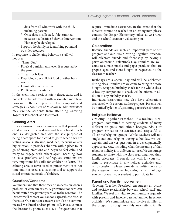data from all who work with the child, including parents

- ° Once data is collected, if determined necessary, a Positive Behavior Intervention Plan may be developed.
- Support the family in identifying potential outside resources.

In response to challenging behaviors, staff will not use:

- "Time-Out"
- Physical punishments, even if requested by the parent
- Threats or bribes
- Depriving your child of food or other basic needs
- Humiliation or isolation
- Public reward systems

In the event that a serious safety threat exists and is not able to be addressed with reasonable modifications and/or the use of positive behavior supports and strategies, School City of Mishawaka administrators may exclude students from attending Growing Together Preschool, as a last resort.

#### Calming Area

Every classroom has a calming area that provides a child a place to calm down and take a break. Each one is a designated area with the sole purpose of being a safe space for a child to go to when they are feeling anxious, stressed, mad, sad, nervous or any big emotion. It provides children with a place to let go of strong emotions and begin to feel calm and ready to engage with others again. Learning how to solve problems and self-regulate emotions are very important life skills for children to learn. The calming area is never used as punishment, it is not time out, it is used as a teaching tool to support the social-emotional needs of children.

#### Questions/Concerns

We understand that there may be an occasion when a problem or concern arises. A grievance/concern can be submitted by a parent/guardian to the Director. The Director will contact you as soon as possible to discuss the issue. Questions or concerns can also be communicated via Email and/or phone call. Please contact the director by phone at 254-4711 for questions that

require immediate assistance. In the event that the director cannot be reached in an emergency, please contact the Beiger Elementary office at 254-4700 and the school secretary will assist you.

#### **Celebrations**

Because friends are such an important part of our program and our lives, Growing Together Preschool will celebrate friends and friendship by having a party on/around Valentine's Day. Families are welcome to donate snacks and paper products that are prepackaged and store bought as requested by the classroom teacher.

Birthdays are a special day and will be celebrated during class. Families are welcome to bring in a store bought, wrapped birthday snack for the whole class. A healthy component to snack will be offered in addition to any birthday snacks.

Individual classrooms may also have celebrations associated with current studies/projects. Parents will be notified by letter of upcoming parties/celebrations.

#### Religious Holidays

Growing Together Preschool is a multicultural program, committed to serving students of many different religious and ethnic backgrounds. Our program strives to be sensitive and respectful to all ethnic/religious groups. While teachers will not single out one religion during a holiday, we will explain and answer questions in a developmentally appropriate way, including what the meaning of that religious holiday is to different cultures. We encourage students to share with the class regarding how their family celebrates. If you do not wish for your student to participate in any holiday activities and/ or discussions, please provide a written note to the classroom teacher indicating which holidays you do not want your student to participate in.

#### Parent and Family Involvement

Growing Together Preschool encourages an active and positive relationship between school staff and families. We feel it is vital to communicate regularly with parents and involve parents/families in school activities. We communicate and involve families in the program through monthly newsletters, family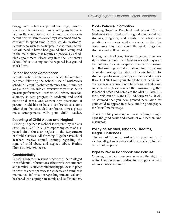engagement activities, parent meetings, parentteacher conferences and our standing invitation to help in the classroom as special guest readers or as parent helpers. Parents are always welcomed and encouraged to spend time in their child's classroom. Parents who wish to participate in classroom activities will need to have a background check completed in the main office that requires a previously scheduled appointment. Please stop in at the Elementary School Office to complete the required background check form.

#### Parent-Teacher Conferences

Parent-Teacher Conferences are scheduled one time per year following the School City of Mishawaka schedule. Parent-Teacher conferences are 15 minutes long and will include an overview of your student's present performance. Teachers will review anecdotal notes, student progress in academic and social emotional areas, and answer any questions. If parents would like to have a conference at a time other than the scheduled conference times, please make arrangements with your child's teacher.

#### Reporting of Child Abuse and Neglect

Growing Together Preschool is required by Indiana State Law (IC 31-33-5-1) to report any cases of suspected child abuse or neglect to the Department of Child Services. All Growing Together Preschool Teachers receive annual training regarding the signs of child abuse and neglect. Abuse Hotline Phone # 1-800-800-5556.

#### **Confidentiality**

Growing Together Preschool teachers will be privileged to confidential information as they work with students and families. A strict confidentiality policy is in place in order to ensure privacy for students and families is maintained. Information regarding students will only be shared with appropriate family and staff members.

#### Photo Release Information

Growing Together Preschool and School City of Mishawaka are proud to share good news about our students, programs, and events. The school corporation encourages media coverage so that the community may learn about the great things that students and staff are doing.

During the school year, Growing Together Preschool staff and/or School City of Mishawaka staff may want to photograph or videotape your student. Information that would potentially be shared for the purpose of media coverage includes, but is not limited to: student's photo, name, grade, age, videos, and images. If you DO NOT want your child to be included in media coverage, corporation publications, websites and social media please contact the Growing Together Preschool office and complete the MEDIA DENIAL form. Without a MEDIA DENIAL form on file, it will be assumed that you have granted permission for your child to appear in videos and/or photographs for (social)media usage.

Thank you for your cooperation in helping us highlight the good work and efforts of our learners and instructors.

#### Policy on Alcohol, Tobacco, Firearms, Illegal Substances

The use of tobacco, and use or possession of alcohol, illegal substances and firearms is prohibited on school property.

#### Right to Revise Handbook and Policies

Growing Together Preschool reserves the right to revise Handbook and add/revise any policies with advance notice to parents.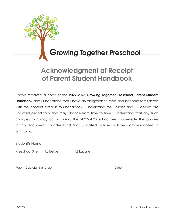

## Acknowledgment of Receipt of Parent Student Handbook

I have received a copy of the 2022-2023 Growing Together Preschool Parent Student **Handbook** and I understand that I have an obligation to read and become familiarized with the content cited in this handbook. I understand the Policies and Guidelines are updated periodically and may change from time to time. I understand that any such changes that may occur during the 2022–2023 school year supersede the policies in this document. I understand that updated policies will be communicated in print form.

Student's Name: \_\_\_\_\_\_\_\_\_\_\_\_\_\_\_\_\_\_\_\_\_\_\_\_\_\_\_\_\_\_\_\_\_\_\_\_\_\_\_\_\_\_\_\_\_\_\_\_\_\_\_\_\_\_\_\_\_\_\_\_\_\_\_\_\_

Preschool Site: □ Beiger □ LaSalle

\_\_\_\_\_\_\_\_\_\_\_\_\_\_\_\_\_\_\_\_\_\_\_\_\_\_\_\_\_\_\_\_\_\_\_\_\_\_\_\_\_\_\_\_\_\_\_\_\_\_\_ \_\_\_\_\_\_\_\_\_\_\_\_\_\_\_\_\_\_\_\_\_\_

Parent/Guardian Signature **Date** Date Date